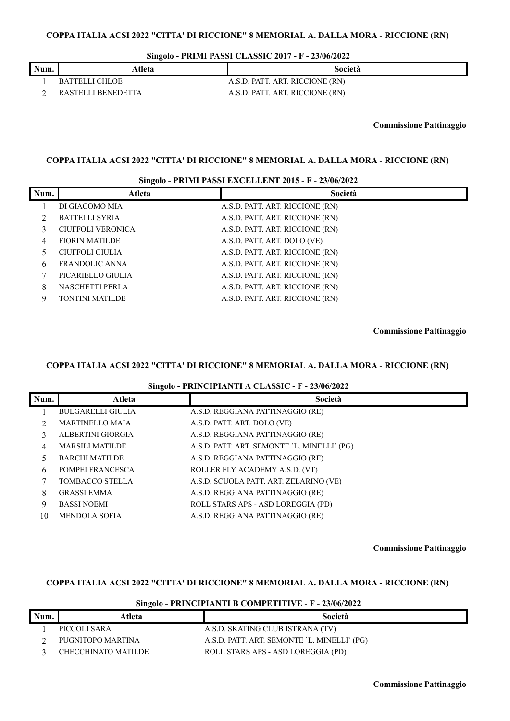**Singolo - PRIMI PASSI CLASSIC 2017 - F - 23/06/2022**

| Num. | Atleta             | Società                         |
|------|--------------------|---------------------------------|
|      | BATTELLI CHLOE     | A.S.D. PATT. ART. RICCIONE (RN) |
|      | RASTELLI BENEDETTA | A.S.D. PATT. ART. RICCIONE (RN) |

**Commissione Pattinaggio**

# **COPPA ITALIA ACSI 2022 "CITTA' DI RICCIONE" 8 MEMORIAL A. DALLA MORA - RICCIONE (RN)**

# **Singolo - PRIMI PASSI EXCELLENT 2015 - F - 23/06/2022**

| Num. | Atleta                   | Società                         |
|------|--------------------------|---------------------------------|
|      | DI GIACOMO MIA           | A.S.D. PATT. ART. RICCIONE (RN) |
|      | <b>BATTELLI SYRIA</b>    | A.S.D. PATT. ART. RICCIONE (RN) |
| 3    | <b>CIUFFOLI VERONICA</b> | A.S.D. PATT. ART. RICCIONE (RN) |
| 4    | <b>FIORIN MATILDE</b>    | A.S.D. PATT. ART. DOLO (VE)     |
|      | CIUFFOLI GIULIA          | A.S.D. PATT. ART. RICCIONE (RN) |
| 6    | FRANDOLIC ANNA           | A.S.D. PATT. ART. RICCIONE (RN) |
|      | PICARIELLO GIULIA        | A.S.D. PATT. ART. RICCIONE (RN) |
| 8    | <b>NASCHETTI PERLA</b>   | A.S.D. PATT. ART. RICCIONE (RN) |
| Q    | <b>TONTINI MATILDE</b>   | A.S.D. PATT. ART. RICCIONE (RN) |

**Commissione Pattinaggio**

# **COPPA ITALIA ACSI 2022 "CITTA' DI RICCIONE" 8 MEMORIAL A. DALLA MORA - RICCIONE (RN)**

### **Singolo - PRINCIPIANTI A CLASSIC - F - 23/06/2022**

| Num. | $\tilde{\phantom{a}}$<br>Atleta | Società                                     |
|------|---------------------------------|---------------------------------------------|
|      |                                 |                                             |
|      | <b>BULGARELLI GIULIA</b>        | A.S.D. REGGIANA PATTINAGGIO (RE)            |
|      | <b>MARTINELLO MAIA</b>          | A.S.D. PATT. ART. DOLO (VE)                 |
|      | ALBERTINI GIORGIA               | A.S.D. REGGIANA PATTINAGGIO (RE)            |
| 4    | <b>MARSILI MATILDE</b>          | A.S.D. PATT. ART. SEMONTE 'L. MINELLI' (PG) |
|      | <b>BARCHI MATILDE</b>           | A.S.D. REGGIANA PATTINAGGIO (RE)            |
| 6    | POMPEI FRANCESCA                | ROLLER FLY ACADEMY A.S.D. (VT)              |
|      | <b>TOMBACCO STELLA</b>          | A.S.D. SCUOLA PATT. ART. ZELARINO (VE)      |
| 8    | <b>GRASSI EMMA</b>              | A.S.D. REGGIANA PATTINAGGIO (RE)            |
| 9    | <b>BASSI NOEMI</b>              | ROLL STARS APS - ASD LOREGGIA (PD)          |
| 10   | <b>MENDOLA SOFIA</b>            | A.S.D. REGGIANA PATTINAGGIO (RE)            |

**Commissione Pattinaggio**

# **COPPA ITALIA ACSI 2022 "CITTA' DI RICCIONE" 8 MEMORIAL A. DALLA MORA - RICCIONE (RN)**

### **Singolo - PRINCIPIANTI B COMPETITIVE - F - 23/06/2022**

| Num. | Atleta              | Società                                     |
|------|---------------------|---------------------------------------------|
|      | PICCOLI SARA        | A.S.D. SKATING CLUB ISTRANA (TV)            |
|      | PUGNITOPO MARTINA   | A.S.D. PATT. ART. SEMONTE 'L. MINELLI' (PG) |
|      | CHECCHINATO MATILDE | ROLL STARS APS - ASD LOREGGIA (PD)          |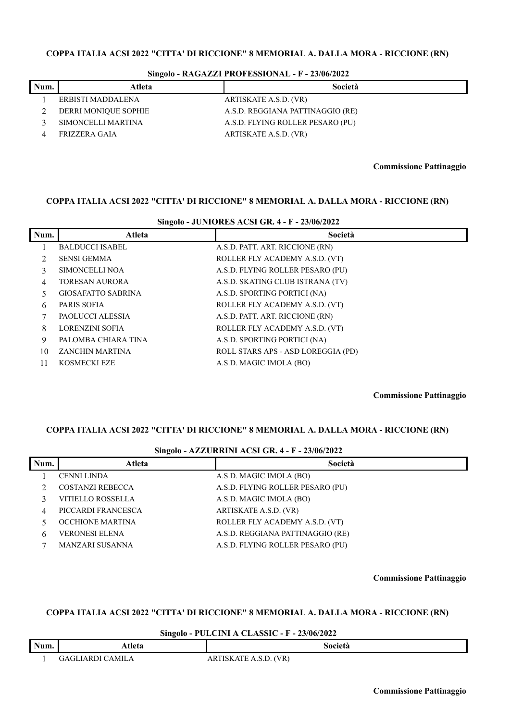| Num. | Atleta               | Società                          |
|------|----------------------|----------------------------------|
|      | ERBISTI MADDALENA    | ARTISKATE A.S.D. (VR)            |
|      | DERRI MONIQUE SOPHIE | A.S.D. REGGIANA PATTINAGGIO (RE) |
|      | SIMONCELLI MARTINA   | A.S.D. FLYING ROLLER PESARO (PU) |
|      | FRIZZERA GAIA        | ARTISKATE A.S.D. (VR)            |

### **Singolo - RAGAZZI PROFESSIONAL - F - 23/06/2022**

**Commissione Pattinaggio**

### **COPPA ITALIA ACSI 2022 "CITTA' DI RICCIONE" 8 MEMORIAL A. DALLA MORA - RICCIONE (RN)**

| Singolo - JUNIORES ACSI GR. 4 - F - 23/06/2022 |                           |                                    |  |
|------------------------------------------------|---------------------------|------------------------------------|--|
| Num.                                           | Atleta                    | Società                            |  |
|                                                | <b>BALDUCCI ISABEL</b>    | A.S.D. PATT. ART. RICCIONE (RN)    |  |
|                                                | <b>SENSI GEMMA</b>        | ROLLER FLY ACADEMY A.S.D. (VT)     |  |
| 3                                              | SIMONCELLI NOA            | A.S.D. FLYING ROLLER PESARO (PU)   |  |
| 4                                              | TORESAN AURORA            | A.S.D. SKATING CLUB ISTRANA (TV)   |  |
| 5.                                             | <b>GIOSAFATTO SABRINA</b> | A.S.D. SPORTING PORTICI (NA)       |  |
| 6                                              | PARIS SOFIA               | ROLLER FLY ACADEMY A.S.D. (VT)     |  |
|                                                | PAOLUCCI ALESSIA          | A.S.D. PATT. ART. RICCIONE (RN)    |  |
| 8                                              | <b>LORENZINI SOFIA</b>    | ROLLER FLY ACADEMY A.S.D. (VT)     |  |
| 9                                              | PALOMBA CHIARA TINA       | A.S.D. SPORTING PORTICI (NA)       |  |
| 10                                             | ZANCHIN MARTINA           | ROLL STARS APS - ASD LOREGGIA (PD) |  |
| 11                                             | <b>KOSMECKI EZE</b>       | A.S.D. MAGIC IMOLA (BO)            |  |

**Commissione Pattinaggio**

### **COPPA ITALIA ACSI 2022 "CITTA' DI RICCIONE" 8 MEMORIAL A. DALLA MORA - RICCIONE (RN)**

## **Singolo - AZZURRINI ACSI GR. 4 - F - 23/06/2022**

| Num.         | Atleta                  | Società                          |
|--------------|-------------------------|----------------------------------|
|              | <b>CENNI LINDA</b>      | A.S.D. MAGIC IMOLA (BO)          |
|              | <b>COSTANZI REBECCA</b> | A.S.D. FLYING ROLLER PESARO (PU) |
|              | VITIELLO ROSSELLA       | A.S.D. MAGIC IMOLA (BO)          |
| 4            | PICCARDI FRANCESCA      | ARTISKATE A.S.D. (VR)            |
|              | OCCHIONE MARTINA        | ROLLER FLY ACADEMY A.S.D. (VT)   |
| <sub>b</sub> | VERONESI ELENA          | A.S.D. REGGIANA PATTINAGGIO (RE) |
|              | MANZARI SUSANNA         | A.S.D. FLYING ROLLER PESARO (PU) |
|              |                         |                                  |

**Commissione Pattinaggio**

### **COPPA ITALIA ACSI 2022 "CITTA' DI RICCIONE" 8 MEMORIAL A. DALLA MORA - RICCIONE (RN)**

## **Singolo - PULCINI A CLASSIC - F - 23/06/2022**

| Num. | Atleta                     | Società                                        |
|------|----------------------------|------------------------------------------------|
|      | `AMILA<br>IAP <sup>o</sup> | VR)<br><b>TIT</b><br>ISKATE<br>$\Lambda.9.1$ . |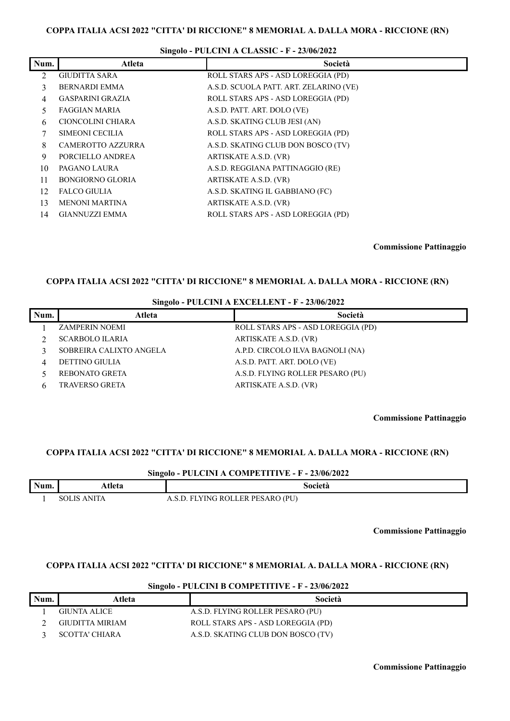|                | <b>DIREGIO - I ULICIANI A CLADDIC - I - 20/00/2022</b> |                                        |  |
|----------------|--------------------------------------------------------|----------------------------------------|--|
| Num.           | Atleta                                                 | Società                                |  |
| $\mathfrak{D}$ | <b>GIUDITTA SARA</b>                                   | ROLL STARS APS - ASD LOREGGIA (PD)     |  |
| 3              | <b>BERNARDI EMMA</b>                                   | A.S.D. SCUOLA PATT. ART. ZELARINO (VE) |  |
| 4              | <b>GASPARINI GRAZIA</b>                                | ROLL STARS APS - ASD LOREGGIA (PD)     |  |
| 5.             | FAGGIAN MARIA                                          | A.S.D. PATT. ART. DOLO (VE)            |  |
| 6              | CIONCOLINI CHIARA                                      | A.S.D. SKATING CLUB JESI (AN)          |  |
| 7              | SIMEONI CECILIA                                        | ROLL STARS APS - ASD LOREGGIA (PD)     |  |
| 8              | <b>CAMEROTTO AZZURRA</b>                               | A.S.D. SKATING CLUB DON BOSCO (TV)     |  |
| 9              | PORCIELLO ANDREA                                       | ARTISKATE A.S.D. (VR)                  |  |
| 10             | PAGANO LAURA                                           | A.S.D. REGGIANA PATTINAGGIO (RE)       |  |
| 11             | <b>BONGIORNO GLORIA</b>                                | ARTISKATE A.S.D. (VR)                  |  |
| 12             | <b>FALCO GIULIA</b>                                    | A.S.D. SKATING IL GABBIANO (FC)        |  |
| 13             | <b>MENONI MARTINA</b>                                  | ARTISKATE A.S.D. (VR)                  |  |
| 14             | <b>GIANNUZZI EMMA</b>                                  | ROLL STARS APS - ASD LOREGGIA (PD)     |  |

# **Singolo - PULCINI A CLASSIC - F - 23/06/2022**

**Commissione Pattinaggio**

ヿ

### **COPPA ITALIA ACSI 2022 "CITTA' DI RICCIONE" 8 MEMORIAL A. DALLA MORA - RICCIONE (RN)**

### **Singolo - PULCINI A EXCELLENT - F - 23/06/2022**

| Num. | Atleta                  | Società                            |
|------|-------------------------|------------------------------------|
|      | <b>ZAMPERIN NOEMI</b>   | ROLL STARS APS - ASD LOREGGIA (PD) |
|      | <b>SCARBOLO ILARIA</b>  | ARTISKATE A.S.D. (VR)              |
|      | SOBREIRA CALIXTO ANGELA | A.P.D. CIRCOLO ILVA BAGNOLI (NA)   |
| 4    | <b>DETTINO GIULIA</b>   | A.S.D. PATT. ART. DOLO (VE)        |
|      | REBONATO GRETA          | A.S.D. FLYING ROLLER PESARO (PU)   |
|      | <b>TRAVERSO GRETA</b>   | ARTISKATE A.S.D. (VR)              |

**Commissione Pattinaggio**

# **COPPA ITALIA ACSI 2022 "CITTA' DI RICCIONE" 8 MEMORIAL A. DALLA MORA - RICCIONE (RN)**

#### **Singolo - PULCINI A COMPETITIVE - F - 23/06/2022**

| Num. | ،tleta       | Società                        |
|------|--------------|--------------------------------|
|      | <b>ANITA</b> | YING ROLLER PESARO (PU)<br>. . |

**Commissione Pattinaggio**

#### **COPPA ITALIA ACSI 2022 "CITTA' DI RICCIONE" 8 MEMORIAL A. DALLA MORA - RICCIONE (RN)**

| Num. | Atleta                | Società                            |
|------|-----------------------|------------------------------------|
|      | GIUNTA ALICE          | A.S.D. FLYING ROLLER PESARO (PU)   |
|      | GIUDITTA MIRIAM       | ROLL STARS APS - ASD LOREGGIA (PD) |
|      | <b>SCOTTA' CHIARA</b> | A.S.D. SKATING CLUB DON BOSCO (TV) |

### **Singolo - PULCINI B COMPETITIVE - F - 23/06/2022**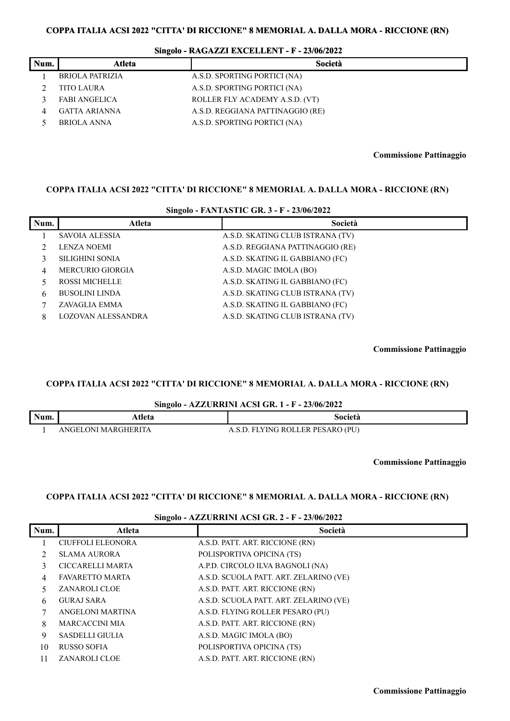| Singolo - RAGAZZI EXCELLENT - F - 23/06/2022 |  |  |  |
|----------------------------------------------|--|--|--|
|----------------------------------------------|--|--|--|

|      | o                    |                                  |
|------|----------------------|----------------------------------|
| Num. | Atleta               | Società                          |
|      | BRIOLA PATRIZIA      | A.S.D. SPORTING PORTICI (NA)     |
|      | <b>TITO LAURA</b>    | A.S.D. SPORTING PORTICI (NA)     |
|      | <b>FABI ANGELICA</b> | ROLLER FLY ACADEMY A.S.D. (VT)   |
|      | GATTA ARIANNA        | A.S.D. REGGIANA PATTINAGGIO (RE) |
|      | <b>BRIOLA ANNA</b>   | A.S.D. SPORTING PORTICI (NA)     |

**Commissione Pattinaggio**

### **COPPA ITALIA ACSI 2022 "CITTA' DI RICCIONE" 8 MEMORIAL A. DALLA MORA - RICCIONE (RN)**

| $\frac{1}{2}$ Singuio - FAINTAS FIC GR. 3 - F - 23/00/2022 |                           |                                  |
|------------------------------------------------------------|---------------------------|----------------------------------|
| Num.                                                       | Atleta                    | Società                          |
|                                                            | SAVOIA ALESSIA            | A.S.D. SKATING CLUB ISTRANA (TV) |
|                                                            | <b>LENZA NOEMI</b>        | A.S.D. REGGIANA PATTINAGGIO (RE) |
|                                                            | SILIGHINI SONIA           | A.S.D. SKATING IL GABBIANO (FC)  |
| 4                                                          | <b>MERCURIO GIORGIA</b>   | A.S.D. MAGIC IMOLA (BO)          |
|                                                            | <b>ROSSI MICHELLE</b>     | A.S.D. SKATING IL GABBIANO (FC)  |
| 6                                                          | <b>BUSOLINI LINDA</b>     | A.S.D. SKATING CLUB ISTRANA (TV) |
|                                                            | ZAVAGLIA EMMA             | A.S.D. SKATING IL GABBIANO (FC)  |
| 8                                                          | <b>LOZOVAN ALESSANDRA</b> | A.S.D. SKATING CLUB ISTRANA (TV) |

**Singolo - FANTASTIC GR. 3 - F - 23/06/2022**

**Commissione Pattinaggio**

# **COPPA ITALIA ACSI 2022 "CITTA' DI RICCIONE" 8 MEMORIAL A. DALLA MORA - RICCIONE (RN)**

**Singolo - AZZURRINI ACSI GR. 1 - F - 23/06/2022**

| Num. | <b>\tleta</b>                 | Società                                  |
|------|-------------------------------|------------------------------------------|
|      | <b>MARGHERITA</b><br>NGEI ONI | (PU)<br>LER PESARO<br>'YING ROLI<br>- FI |

**Commissione Pattinaggio**

## **COPPA ITALIA ACSI 2022 "CITTA' DI RICCIONE" 8 MEMORIAL A. DALLA MORA - RICCIONE (RN)**

#### **Singolo - AZZURRINI ACSI GR. 2 - F - 23/06/2022**

| Num. | Atleta                   | Società                                |
|------|--------------------------|----------------------------------------|
|      | <b>CIUFFOLI ELEONORA</b> | A.S.D. PATT. ART. RICCIONE (RN)        |
|      | SLAMA AURORA             | POLISPORTIVA OPICINA (TS)              |
| 3    | CICCARELLI MARTA         | A.P.D. CIRCOLO ILVA BAGNOLI (NA)       |
| 4    | <b>FAVARETTO MARTA</b>   | A.S.D. SCUOLA PATT. ART. ZELARINO (VE) |
| 5.   | ZANAROLI CLOE            | A.S.D. PATT. ART. RICCIONE (RN)        |
| 6    | <b>GURAJ SARA</b>        | A.S.D. SCUOLA PATT. ART. ZELARINO (VE) |
|      | ANGELONI MARTINA         | A.S.D. FLYING ROLLER PESARO (PU)       |
| 8    | MARCACCINI MIA           | A.S.D. PATT. ART. RICCIONE (RN)        |
| 9    | <b>SASDELLI GIULIA</b>   | A.S.D. MAGIC IMOLA (BO)                |
| 10   | RUSSO SOFIA              | POLISPORTIVA OPICINA (TS)              |
| 11   | <b>ZANAROLI CLOE</b>     | A.S.D. PATT. ART. RICCIONE (RN)        |